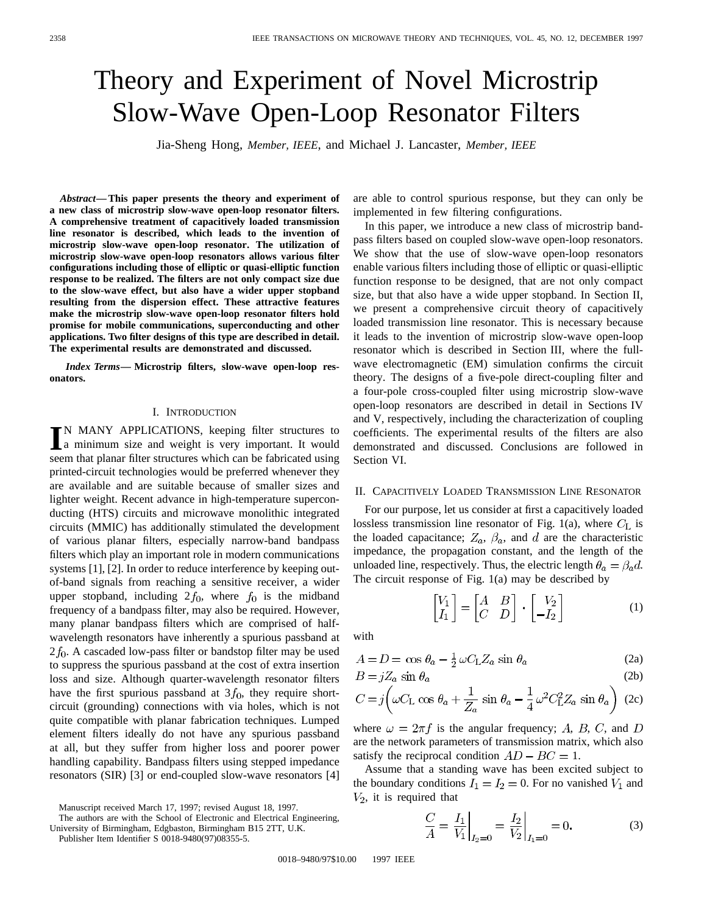# Theory and Experiment of Novel Microstrip Slow-Wave Open-Loop Resonator Filters

Jia-Sheng Hong, *Member, IEEE*, and Michael J. Lancaster, *Member, IEEE*

*Abstract—***This paper presents the theory and experiment of a new class of microstrip slow-wave open-loop resonator filters. A comprehensive treatment of capacitively loaded transmission line resonator is described, which leads to the invention of microstrip slow-wave open-loop resonator. The utilization of microstrip slow-wave open-loop resonators allows various filter configurations including those of elliptic or quasi-elliptic function response to be realized. The filters are not only compact size due to the slow-wave effect, but also have a wider upper stopband resulting from the dispersion effect. These attractive features make the microstrip slow-wave open-loop resonator filters hold promise for mobile communications, superconducting and other applications. Two filter designs of this type are described in detail. The experimental results are demonstrated and discussed.**

*Index Terms—* **Microstrip filters, slow-wave open-loop resonators.**

#### I. INTRODUCTION

IN MANY APPLICATIONS, keeping filter structures to<br>a minimum size and weight is very important. It would a minimum size and weight is very important. It would seem that planar filter structures which can be fabricated using printed-circuit technologies would be preferred whenever they are available and are suitable because of smaller sizes and lighter weight. Recent advance in high-temperature superconducting (HTS) circuits and microwave monolithic integrated circuits (MMIC) has additionally stimulated the development of various planar filters, especially narrow-band bandpass filters which play an important role in modern communications systems [1], [2]. In order to reduce interference by keeping outof-band signals from reaching a sensitive receiver, a wider upper stopband, including  $2f_0$ , where  $f_0$  is the midband frequency of a bandpass filter, may also be required. However, many planar bandpass filters which are comprised of halfwavelength resonators have inherently a spurious passband at  $2 f<sub>0</sub>$ . A cascaded low-pass filter or bandstop filter may be used to suppress the spurious passband at the cost of extra insertion loss and size. Although quarter-wavelength resonator filters have the first spurious passband at  $3f_0$ , they require shortcircuit (grounding) connections with via holes, which is not quite compatible with planar fabrication techniques. Lumped element filters ideally do not have any spurious passband at all, but they suffer from higher loss and poorer power handling capability. Bandpass filters using stepped impedance resonators (SIR) [3] or end-coupled slow-wave resonators [4]

The authors are with the School of Electronic and Electrical Engineering,

University of Birmingham, Edgbaston, Birmingham B15 2TT, U.K.

Publisher Item Identifier S 0018-9480(97)08355-5.

are able to control spurious response, but they can only be implemented in few filtering configurations.

In this paper, we introduce a new class of microstrip bandpass filters based on coupled slow-wave open-loop resonators. We show that the use of slow-wave open-loop resonators enable various filters including those of elliptic or quasi-elliptic function response to be designed, that are not only compact size, but that also have a wide upper stopband. In Section II, we present a comprehensive circuit theory of capacitively loaded transmission line resonator. This is necessary because it leads to the invention of microstrip slow-wave open-loop resonator which is described in Section III, where the fullwave electromagnetic (EM) simulation confirms the circuit theory. The designs of a five-pole direct-coupling filter and a four-pole cross-coupled filter using microstrip slow-wave open-loop resonators are described in detail in Sections IV and V, respectively, including the characterization of coupling coefficients. The experimental results of the filters are also demonstrated and discussed. Conclusions are followed in Section VI.

#### II. CAPACITIVELY LOADED TRANSMISSION LINE RESONATOR

For our purpose, let us consider at first a capacitively loaded lossless transmission line resonator of Fig. 1(a), where  $C_{\rm L}$  is the loaded capacitance;  $Z_a$ ,  $\beta_a$ , and d are the characteristic impedance, the propagation constant, and the length of the unloaded line, respectively. Thus, the electric length  $\theta_a = \beta_a d$ . The circuit response of Fig. 1(a) may be described by

 $\sim$ 

$$
\begin{bmatrix} V_1 \\ I_1 \end{bmatrix} = \begin{bmatrix} A & B \\ C & D \end{bmatrix} \cdot \begin{bmatrix} V_2 \\ -I_2 \end{bmatrix} \tag{1}
$$

with

$$
A = D = \cos \theta_a - \frac{1}{2} \omega C_{\rm L} Z_a \sin \theta_a \tag{2a}
$$

$$
B = jZ_a \sin \theta_a \tag{2b}
$$

$$
C = j \left( \omega C_{\rm L} \cos \theta_a + \frac{1}{Z_a} \sin \theta_a - \frac{1}{4} \omega^2 C_{\rm L}^2 Z_a \sin \theta_a \right) (2c)
$$

where  $\omega = 2\pi f$  is the angular frequency; A, B, C, and D are the network parameters of transmission matrix, which also satisfy the reciprocal condition  $AD - BC = 1$ .

Assume that a standing wave has been excited subject to the boundary conditions  $I_1 = I_2 = 0$ . For no vanished  $V_1$  and  $V_2$ , it is required that

$$
\frac{C}{A} = \frac{I_1}{V_1}\bigg|_{I_2=0} = \frac{I_2}{V_2}\bigg|_{I_1=0} = 0.
$$
 (3)

Manuscript received March 17, 1997; revised August 18, 1997.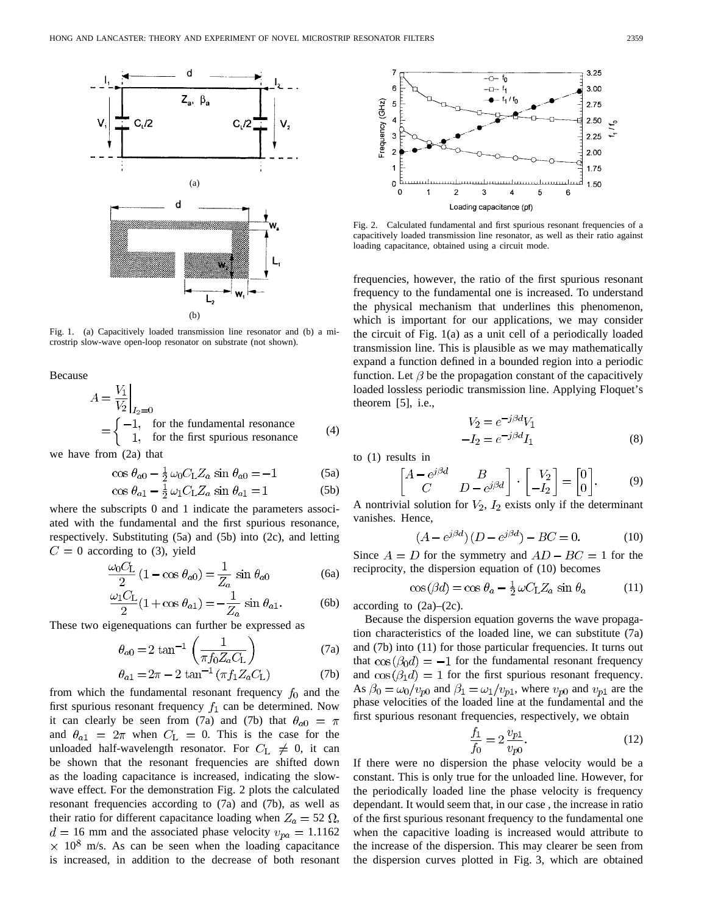

Fig. 1. (a) Capacitively loaded transmission line resonator and (b) a microstrip slow-wave open-loop resonator on substrate (not shown).

Because

$$
A = \frac{V_1}{V_2}\Big|_{I_2=0}
$$
  
=  $\begin{cases} -1, & \text{for the fundamental resonance} \\ 1, & \text{for the first spurious resonance} \end{cases}$  (4)

we have from (2a) that

$$
\cos \theta_{a0} - \frac{1}{2} \omega_0 C_{\text{L}} Z_a \sin \theta_{a0} = -1 \tag{5a}
$$

$$
\cos \theta_{a1} - \frac{1}{2} \omega_1 C_{\text{L}} Z_a \sin \theta_{a1} = 1 \tag{5b}
$$

where the subscripts 0 and 1 indicate the parameters associated with the fundamental and the first spurious resonance, respectively. Substituting (5a) and (5b) into (2c), and letting  $C = 0$  according to (3), yield

$$
\frac{\omega_0 C_\text{L}}{2} \left( 1 - \cos \theta_{a0} \right) = \frac{1}{Z_a} \sin \theta_{a0} \tag{6a}
$$

$$
\frac{\omega_1 C_L}{2} (1 + \cos \theta_{a1}) = -\frac{1}{Z_a} \sin \theta_{a1}.
$$
 (6b)

These two eigenequations can further be expressed as

$$
\theta_{a0} = 2 \tan^{-1} \left( \frac{1}{\pi f_0 Z_a C_{\text{L}}} \right) \tag{7a}
$$

$$
\theta_{a1} = 2\pi - 2 \tan^{-1} (\pi f_1 Z_a C_{\text{L}})
$$
 (7b)

from which the fundamental resonant frequency  $f_0$  and the first spurious resonant frequency  $f_1$  can be determined. Now it can clearly be seen from (7a) and (7b) that  $\theta_{a0} = \pi$ and  $\theta_{a1} = 2\pi$  when  $C_{L} = 0$ . This is the case for the unloaded half-wavelength resonator. For  $C_{\text{L}} \neq 0$ , it can be shown that the resonant frequencies are shifted down as the loading capacitance is increased, indicating the slowwave effect. For the demonstration Fig. 2 plots the calculated resonant frequencies according to (7a) and (7b), as well as their ratio for different capacitance loading when  $Z_a = 52 \Omega$ ,  $d = 16$  mm and the associated phase velocity  $v_{pa} = 1.1162$  $\times$  10<sup>8</sup> m/s. As can be seen when the loading capacitance is increased, in addition to the decrease of both resonant



Fig. 2. Calculated fundamental and first spurious resonant frequencies of a capacitively loaded transmission line resonator, as well as their ratio against loading capacitance, obtained using a circuit mode.

frequencies, however, the ratio of the first spurious resonant frequency to the fundamental one is increased. To understand the physical mechanism that underlines this phenomenon, which is important for our applications, we may consider the circuit of Fig. 1(a) as a unit cell of a periodically loaded transmission line. This is plausible as we may mathematically expand a function defined in a bounded region into a periodic function. Let  $\beta$  be the propagation constant of the capacitively loaded lossless periodic transmission line. Applying Floquet's theorem [5], i.e.,

$$
V_2 = e^{-j\beta d} V_1
$$
  

$$
-I_2 = e^{-j\beta d} I_1
$$
 (8)

to (1) results in

$$
\begin{bmatrix} A - e^{j\beta d} & B \\ C & D - e^{j\beta d} \end{bmatrix} \cdot \begin{bmatrix} V_2 \\ -I_2 \end{bmatrix} = \begin{bmatrix} 0 \\ 0 \end{bmatrix}.
$$
 (9)

A nontrivial solution for  $V_2$ ,  $I_2$  exists only if the determinant vanishes. Hence,

$$
(A - e^{j\beta d})(D - e^{j\beta d}) - BC = 0.
$$
 (10)

Since  $A = D$  for the symmetry and  $AD - BC = 1$  for the reciprocity, the dispersion equation of (10) becomes

$$
\cos\left(\beta d\right) = \cos\theta_a - \frac{1}{2}\,\omega C_{\rm L} Z_a \,\sin\theta_a \tag{11}
$$

according to  $(2a)$ – $(2c)$ .

Because the dispersion equation governs the wave propagation characteristics of the loaded line, we can substitute (7a) and (7b) into (11) for those particular frequencies. It turns out that  $\cos(\beta_0 d) = -1$  for the fundamental resonant frequency and  $\cos(\beta_1 d) = 1$  for the first spurious resonant frequency. As  $\beta_0 = \omega_0/v_{p0}$  and  $\beta_1 = \omega_1/v_{p1}$ , where  $v_{p0}$  and  $v_{p1}$  are the phase velocities of the loaded line at the fundamental and the first spurious resonant frequencies, respectively, we obtain

$$
\frac{f_1}{f_0} = 2 \frac{v_{p1}}{v_{p0}}.\t(12)
$$

If there were no dispersion the phase velocity would be a constant. This is only true for the unloaded line. However, for the periodically loaded line the phase velocity is frequency dependant. It would seem that, in our case , the increase in ratio of the first spurious resonant frequency to the fundamental one when the capacitive loading is increased would attribute to the increase of the dispersion. This may clearer be seen from the dispersion curves plotted in Fig. 3, which are obtained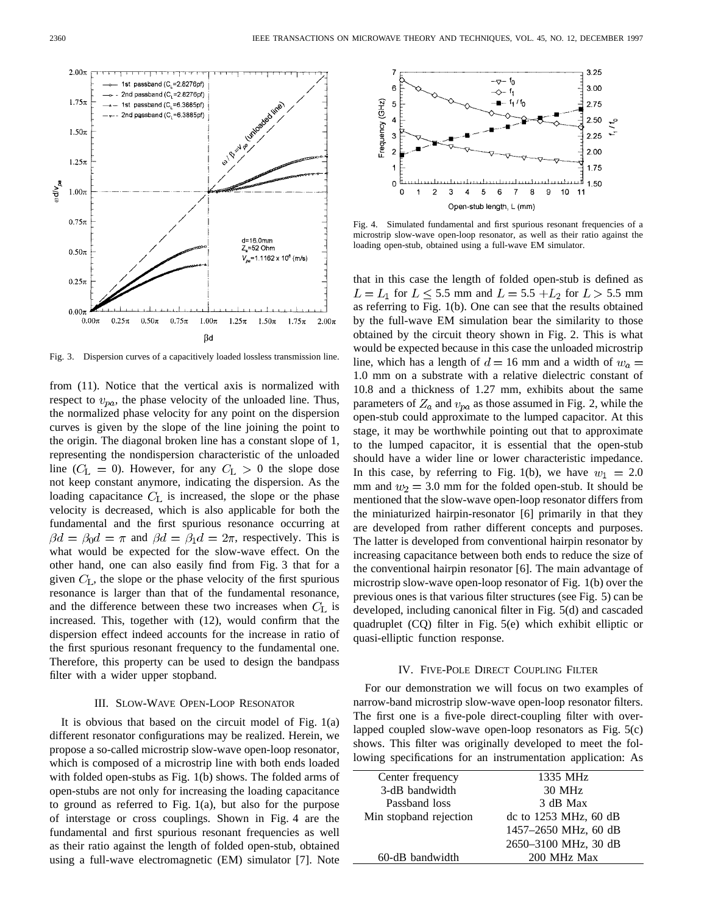

Fig. 3. Dispersion curves of a capacitively loaded lossless transmission line.

from (11). Notice that the vertical axis is normalized with respect to  $v_{pa}$ , the phase velocity of the unloaded line. Thus, the normalized phase velocity for any point on the dispersion curves is given by the slope of the line joining the point to the origin. The diagonal broken line has a constant slope of 1, representing the nondispersion characteristic of the unloaded line ( $C_{\rm L} = 0$ ). However, for any  $C_{\rm L} > 0$  the slope dose not keep constant anymore, indicating the dispersion. As the loading capacitance  $C<sub>L</sub>$  is increased, the slope or the phase velocity is decreased, which is also applicable for both the fundamental and the first spurious resonance occurring at  $\beta d = \beta_0 d = \pi$  and  $\beta d = \beta_1 d = 2\pi$ , respectively. This is what would be expected for the slow-wave effect. On the other hand, one can also easily find from Fig. 3 that for a given  $C_{\text{L}}$ , the slope or the phase velocity of the first spurious resonance is larger than that of the fundamental resonance, and the difference between these two increases when  $C_{L}$  is increased. This, together with (12), would confirm that the dispersion effect indeed accounts for the increase in ratio of the first spurious resonant frequency to the fundamental one. Therefore, this property can be used to design the bandpass filter with a wider upper stopband.

## III. SLOW-WAVE OPEN-LOOP RESONATOR

It is obvious that based on the circuit model of Fig. 1(a) different resonator configurations may be realized. Herein, we propose a so-called microstrip slow-wave open-loop resonator, which is composed of a microstrip line with both ends loaded with folded open-stubs as Fig. 1(b) shows. The folded arms of open-stubs are not only for increasing the loading capacitance to ground as referred to Fig. 1(a), but also for the purpose of interstage or cross couplings. Shown in Fig. 4 are the fundamental and first spurious resonant frequencies as well as their ratio against the length of folded open-stub, obtained using a full-wave electromagnetic (EM) simulator [7]. Note



Fig. 4. Simulated fundamental and first spurious resonant frequencies of a microstrip slow-wave open-loop resonator, as well as their ratio against the loading open-stub, obtained using a full-wave EM simulator.

that in this case the length of folded open-stub is defined as  $L = L_1$  for  $L \le 5.5$  mm and  $L = 5.5 + L_2$  for  $L > 5.5$  mm as referring to Fig. 1(b). One can see that the results obtained by the full-wave EM simulation bear the similarity to those obtained by the circuit theory shown in Fig. 2. This is what would be expected because in this case the unloaded microstrip line, which has a length of  $d = 16$  mm and a width of  $w_a =$ 1.0 mm on a substrate with a relative dielectric constant of 10.8 and a thickness of 1.27 mm, exhibits about the same parameters of  $Z_a$  and  $v_{pa}$  as those assumed in Fig. 2, while the open-stub could approximate to the lumped capacitor. At this stage, it may be worthwhile pointing out that to approximate to the lumped capacitor, it is essential that the open-stub should have a wider line or lower characteristic impedance. In this case, by referring to Fig. 1(b), we have  $w_1 = 2.0$ mm and  $w_2 = 3.0$  mm for the folded open-stub. It should be mentioned that the slow-wave open-loop resonator differs from the miniaturized hairpin-resonator [6] primarily in that they are developed from rather different concepts and purposes. The latter is developed from conventional hairpin resonator by increasing capacitance between both ends to reduce the size of the conventional hairpin resonator [6]. The main advantage of microstrip slow-wave open-loop resonator of Fig. 1(b) over the previous ones is that various filter structures (see Fig. 5) can be developed, including canonical filter in Fig. 5(d) and cascaded quadruplet (CQ) filter in Fig. 5(e) which exhibit elliptic or quasi-elliptic function response.

#### IV. FIVE-POLE DIRECT COUPLING FILTER

For our demonstration we will focus on two examples of narrow-band microstrip slow-wave open-loop resonator filters. The first one is a five-pole direct-coupling filter with overlapped coupled slow-wave open-loop resonators as Fig. 5(c) shows. This filter was originally developed to meet the following specifications for an instrumentation application: As

| Center frequency       | 1335 MHz                |
|------------------------|-------------------------|
| 3-dB bandwidth         | 30 MHz                  |
| Passband loss          | 3 dB Max                |
| Min stopband rejection | dc to $1253$ MHz, 60 dB |
|                        | 1457-2650 MHz, 60 dB    |
|                        | 2650-3100 MHz, 30 dB    |
| 60-dB bandwidth        | 200 MHz Max             |
|                        |                         |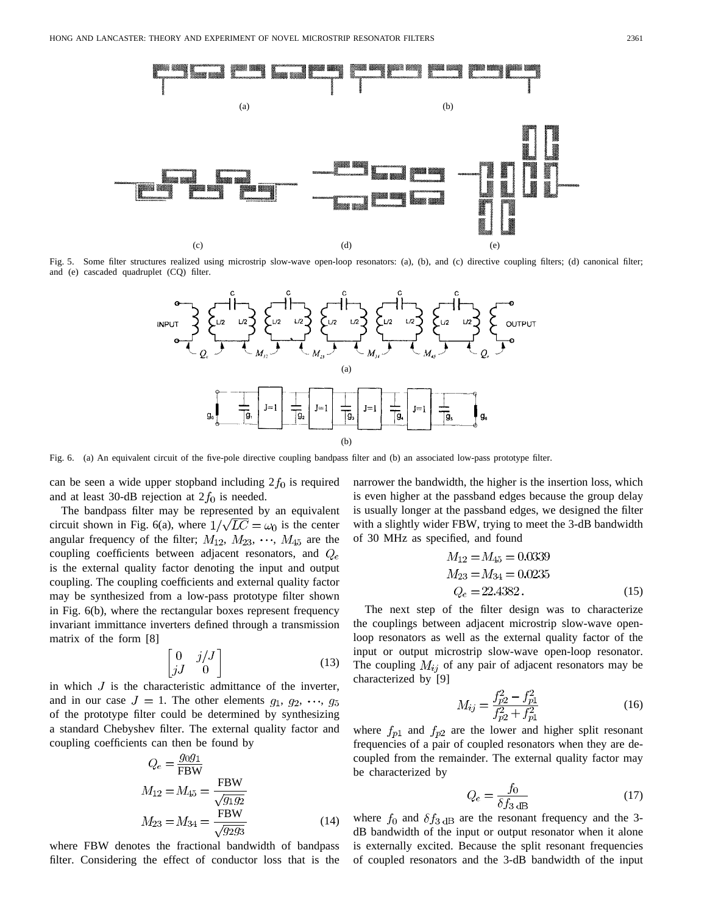

Fig. 5. Some filter structures realized using microstrip slow-wave open-loop resonators: (a), (b), and (c) directive coupling filters; (d) canonical filter; and (e) cascaded quadruplet (CQ) filter.



Fig. 6. (a) An equivalent circuit of the five-pole directive coupling bandpass filter and (b) an associated low-pass prototype filter.

can be seen a wide upper stopband including  $2f_0$  is required and at least 30-dB rejection at  $2f_0$  is needed.

The bandpass filter may be represented by an equivalent circuit shown in Fig. 6(a), where  $1/\sqrt{LC} = \omega_0$  is the center angular frequency of the filter;  $M_{12}$ ,  $M_{23}$ ,  $\cdots$ ,  $M_{45}$  are the coupling coefficients between adjacent resonators, and  $Q_e$ is the external quality factor denoting the input and output coupling. The coupling coefficients and external quality factor may be synthesized from a low-pass prototype filter shown in Fig. 6(b), where the rectangular boxes represent frequency invariant immittance inverters defined through a transmission matrix of the form [8]

$$
\begin{bmatrix} 0 & j/J \\ jJ & 0 \end{bmatrix} \tag{13}
$$

in which  $J$  is the characteristic admittance of the inverter, and in our case  $J = 1$ . The other elements  $g_1, g_2, \dots, g_5$ of the prototype filter could be determined by synthesizing a standard Chebyshev filter. The external quality factor and coupling coefficients can then be found by

$$
Q_e = \frac{g_0 g_1}{\text{FBW}}M_{12} = M_{45} = \frac{\text{FBW}}{\sqrt{g_1 g_2}}M_{23} = M_{34} = \frac{\text{FBW}}{\sqrt{g_2 g_3}}
$$
(14)

where FBW denotes the fractional bandwidth of bandpass filter. Considering the effect of conductor loss that is the narrower the bandwidth, the higher is the insertion loss, which is even higher at the passband edges because the group delay is usually longer at the passband edges, we designed the filter with a slightly wider FBW, trying to meet the 3-dB bandwidth of 30 MHz as specified, and found

$$
M_{12} = M_{45} = 0.0339
$$
  
\n
$$
M_{23} = M_{34} = 0.0235
$$
  
\n
$$
Q_e = 22.4382.
$$
\n(15)

The next step of the filter design was to characterize the couplings between adjacent microstrip slow-wave openloop resonators as well as the external quality factor of the input or output microstrip slow-wave open-loop resonator. The coupling  $M_{ij}$  of any pair of adjacent resonators may be characterized by [9]

$$
M_{ij} = \frac{f_{p2}^2 - f_{p1}^2}{f_{p2}^2 + f_{p1}^2} \tag{16}
$$

where  $f_{p1}$  and  $f_{p2}$  are the lower and higher split resonant frequencies of a pair of coupled resonators when they are decoupled from the remainder. The external quality factor may be characterized by

$$
Q_e = \frac{f_0}{\delta f_{3 \text{ dB}}}
$$
 (17)

where  $f_0$  and  $\delta f_{3 \text{ dB}}$  are the resonant frequency and the 3dB bandwidth of the input or output resonator when it alone is externally excited. Because the split resonant frequencies of coupled resonators and the 3-dB bandwidth of the input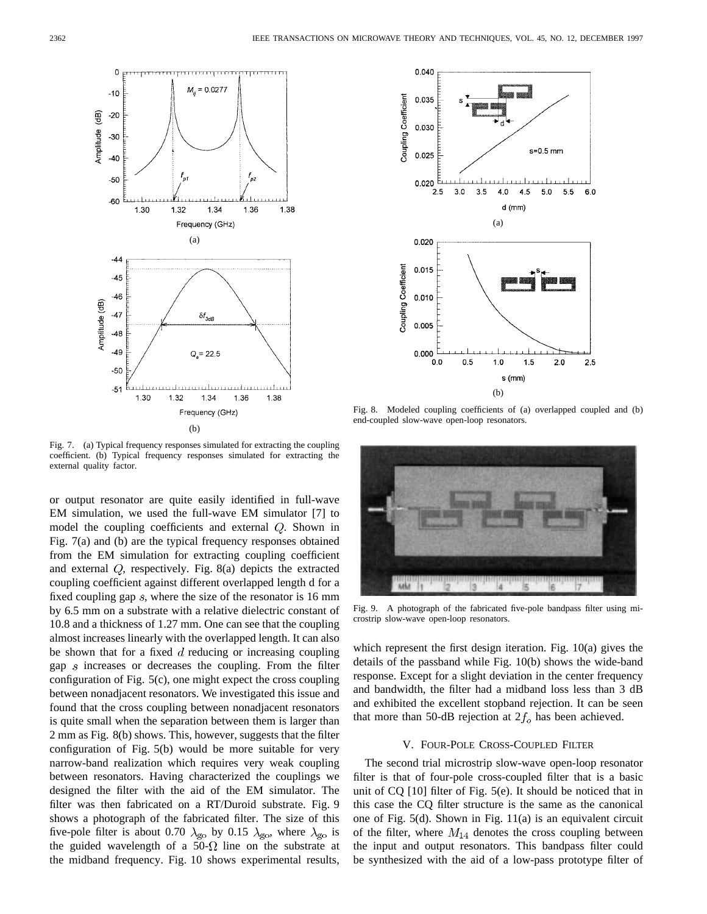

Fig. 7. (a) Typical frequency responses simulated for extracting the coupling coefficient. (b) Typical frequency responses simulated for extracting the external quality factor.

or output resonator are quite easily identified in full-wave EM simulation, we used the full-wave EM simulator [7] to model the coupling coefficients and external  $Q$ . Shown in Fig. 7(a) and (b) are the typical frequency responses obtained from the EM simulation for extracting coupling coefficient and external  $Q$ , respectively. Fig. 8(a) depicts the extracted coupling coefficient against different overlapped length d for a fixed coupling gap  $s$ , where the size of the resonator is 16 mm by 6.5 mm on a substrate with a relative dielectric constant of 10.8 and a thickness of 1.27 mm. One can see that the coupling almost increases linearly with the overlapped length. It can also be shown that for a fixed  $d$  reducing or increasing coupling gap  $s$  increases or decreases the coupling. From the filter configuration of Fig. 5(c), one might expect the cross coupling between nonadjacent resonators. We investigated this issue and found that the cross coupling between nonadjacent resonators is quite small when the separation between them is larger than 2 mm as Fig. 8(b) shows. This, however, suggests that the filter configuration of Fig. 5(b) would be more suitable for very narrow-band realization which requires very weak coupling between resonators. Having characterized the couplings we designed the filter with the aid of the EM simulator. The filter was then fabricated on a RT/Duroid substrate. Fig. 9 shows a photograph of the fabricated filter. The size of this five-pole filter is about 0.70  $\lambda_{\rm go}$  by 0.15  $\lambda_{\rm go}$ , where  $\lambda_{\rm go}$  is the guided wavelength of a 50- $\Omega$  line on the substrate at the midband frequency. Fig. 10 shows experimental results,



Fig. 8. Modeled coupling coefficients of (a) overlapped coupled and (b) end-coupled slow-wave open-loop resonators.



Fig. 9. A photograph of the fabricated five-pole bandpass filter using microstrip slow-wave open-loop resonators.

which represent the first design iteration. Fig. 10(a) gives the details of the passband while Fig. 10(b) shows the wide-band response. Except for a slight deviation in the center frequency and bandwidth, the filter had a midband loss less than 3 dB and exhibited the excellent stopband rejection. It can be seen that more than 50-dB rejection at  $2f_0$  has been achieved.

## V. FOUR-POLE CROSS-COUPLED FILTER

The second trial microstrip slow-wave open-loop resonator filter is that of four-pole cross-coupled filter that is a basic unit of CQ [10] filter of Fig. 5(e). It should be noticed that in this case the CQ filter structure is the same as the canonical one of Fig. 5(d). Shown in Fig. 11(a) is an equivalent circuit of the filter, where  $M_{14}$  denotes the cross coupling between the input and output resonators. This bandpass filter could be synthesized with the aid of a low-pass prototype filter of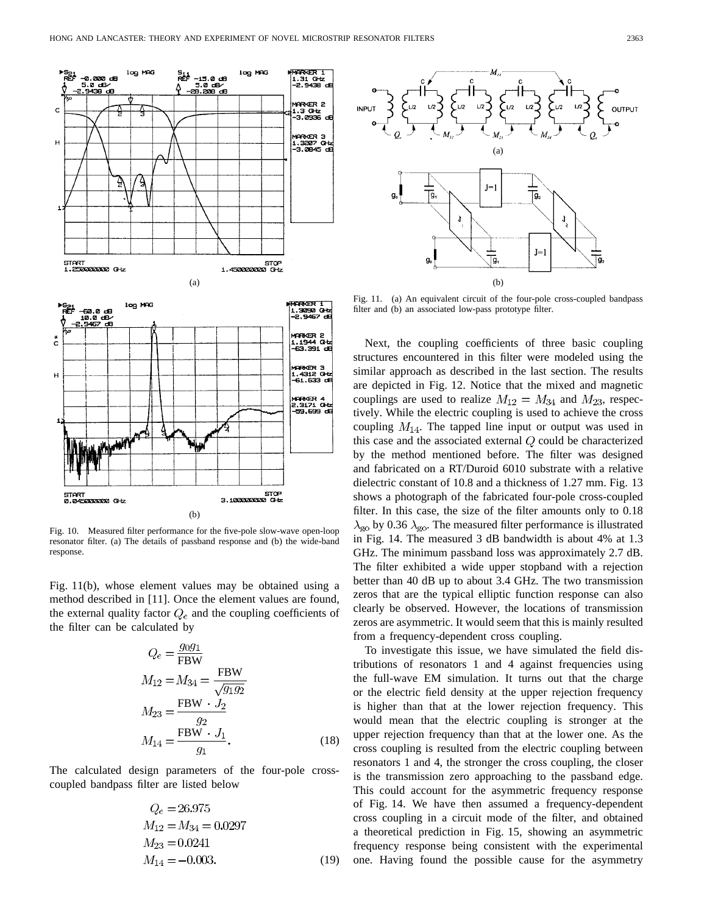

Fig. 10. Measured filter performance for the five-pole slow-wave open-loop resonator filter. (a) The details of passband response and (b) the wide-band response.

Fig. 11(b), whose element values may be obtained using a method described in [11]. Once the element values are found, the external quality factor  $Q_e$  and the coupling coefficients of the filter can be calculated by

$$
Q_e = \frac{g_0 g_1}{\text{FBW}}M_{12} = M_{34} = \frac{\text{FBW}}{\sqrt{g_1 g_2}}M_{23} = \frac{\text{FBW} \cdot J_2}{g_2}M_{14} = \frac{\text{FBW} \cdot J_1}{g_1}.
$$
 (18)

The calculated design parameters of the four-pole crosscoupled bandpass filter are listed below

$$
Q_e = 26.975
$$
  
\n
$$
M_{12} = M_{34} = 0.0297
$$
  
\n
$$
M_{23} = 0.0241
$$
  
\n
$$
M_{14} = -0.003.
$$
 (19)



Fig. 11. (a) An equivalent circuit of the four-pole cross-coupled bandpass filter and (b) an associated low-pass prototype filter.

Next, the coupling coefficients of three basic coupling structures encountered in this filter were modeled using the similar approach as described in the last section. The results are depicted in Fig. 12. Notice that the mixed and magnetic couplings are used to realize  $M_{12} = M_{34}$  and  $M_{23}$ , respectively. While the electric coupling is used to achieve the cross coupling  $M_{14}$ . The tapped line input or output was used in this case and the associated external  $Q$  could be characterized by the method mentioned before. The filter was designed and fabricated on a RT/Duroid 6010 substrate with a relative dielectric constant of 10.8 and a thickness of 1.27 mm. Fig. 13 shows a photograph of the fabricated four-pole cross-coupled filter. In this case, the size of the filter amounts only to 0.18  $\lambda_{\rm go}$  by 0.36  $\lambda_{\rm go}$ . The measured filter performance is illustrated in Fig. 14. The measured 3 dB bandwidth is about 4% at 1.3 GHz. The minimum passband loss was approximately 2.7 dB. The filter exhibited a wide upper stopband with a rejection better than 40 dB up to about 3.4 GHz. The two transmission zeros that are the typical elliptic function response can also clearly be observed. However, the locations of transmission zeros are asymmetric. It would seem that this is mainly resulted from a frequency-dependent cross coupling.

To investigate this issue, we have simulated the field distributions of resonators 1 and 4 against frequencies using the full-wave EM simulation. It turns out that the charge or the electric field density at the upper rejection frequency is higher than that at the lower rejection frequency. This would mean that the electric coupling is stronger at the upper rejection frequency than that at the lower one. As the cross coupling is resulted from the electric coupling between resonators 1 and 4, the stronger the cross coupling, the closer is the transmission zero approaching to the passband edge. This could account for the asymmetric frequency response of Fig. 14. We have then assumed a frequency-dependent cross coupling in a circuit mode of the filter, and obtained a theoretical prediction in Fig. 15, showing an asymmetric frequency response being consistent with the experimental one. Having found the possible cause for the asymmetry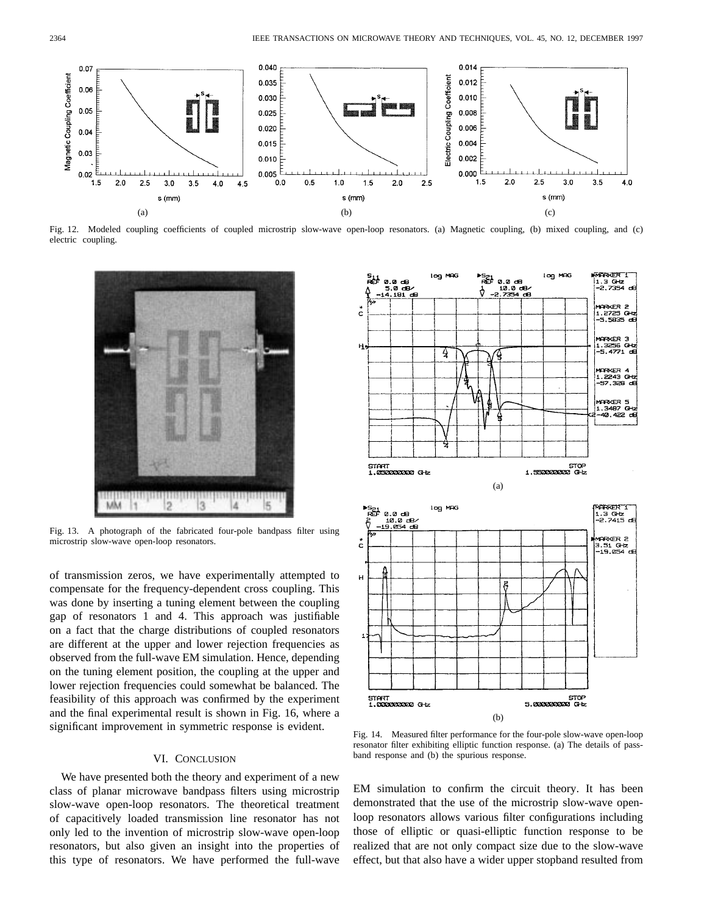

Fig. 12. Modeled coupling coefficients of coupled microstrip slow-wave open-loop resonators. (a) Magnetic coupling, (b) mixed coupling, and (c) electric coupling.



Fig. 13. A photograph of the fabricated four-pole bandpass filter using microstrip slow-wave open-loop resonators.

of transmission zeros, we have experimentally attempted to compensate for the frequency-dependent cross coupling. This was done by inserting a tuning element between the coupling gap of resonators 1 and 4. This approach was justifiable on a fact that the charge distributions of coupled resonators are different at the upper and lower rejection frequencies as observed from the full-wave EM simulation. Hence, depending on the tuning element position, the coupling at the upper and lower rejection frequencies could somewhat be balanced. The feasibility of this approach was confirmed by the experiment and the final experimental result is shown in Fig. 16, where a significant improvement in symmetric response is evident.

# VI. CONCLUSION

We have presented both the theory and experiment of a new class of planar microwave bandpass filters using microstrip slow-wave open-loop resonators. The theoretical treatment of capacitively loaded transmission line resonator has not only led to the invention of microstrip slow-wave open-loop resonators, but also given an insight into the properties of this type of resonators. We have performed the full-wave



Fig. 14. Measured filter performance for the four-pole slow-wave open-loop resonator filter exhibiting elliptic function response. (a) The details of passband response and (b) the spurious response.

EM simulation to confirm the circuit theory. It has been demonstrated that the use of the microstrip slow-wave openloop resonators allows various filter configurations including those of elliptic or quasi-elliptic function response to be realized that are not only compact size due to the slow-wave effect, but that also have a wider upper stopband resulted from